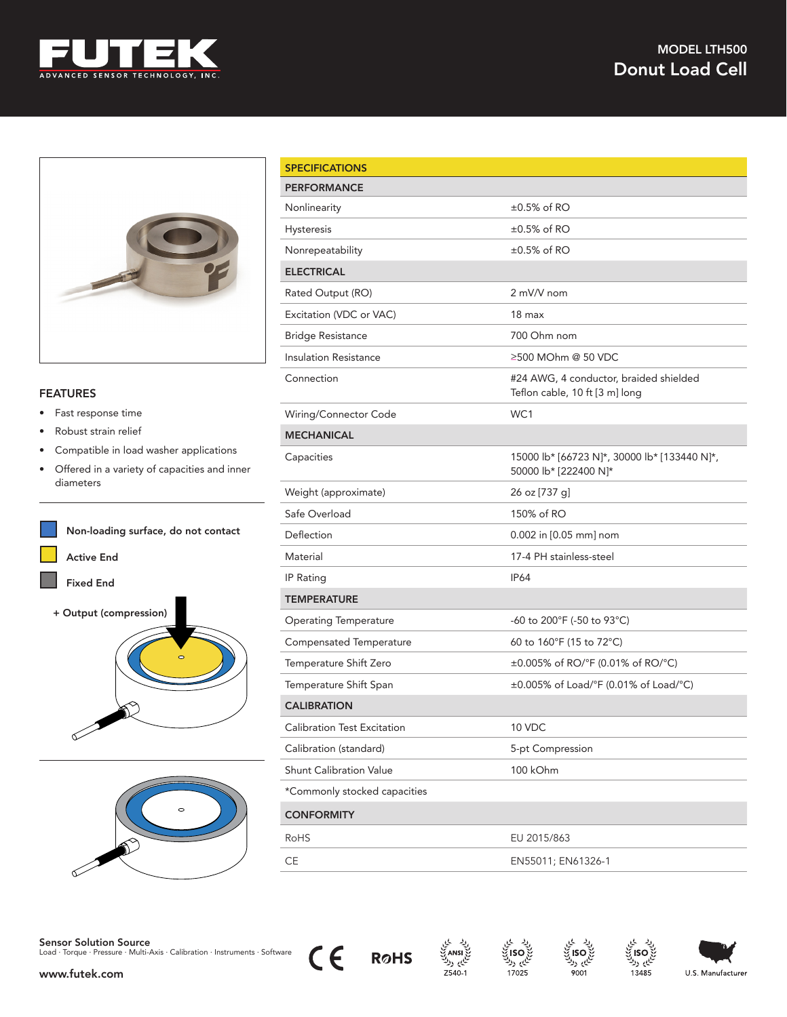



## FEATURES

- Fast response time
- Robust strain relief
- Compatible in load washer applications
- Offered in a variety of capacities and inner diameters





| <b>SPECIFICATIONS</b>          |                                                                          |
|--------------------------------|--------------------------------------------------------------------------|
| <b>PERFORMANCE</b>             |                                                                          |
| Nonlinearity                   | $\pm 0.5\%$ of RO                                                        |
| Hysteresis                     | $\pm 0.5\%$ of RO                                                        |
| Nonrepeatability               | $\pm 0.5\%$ of RO                                                        |
| <b>ELECTRICAL</b>              |                                                                          |
| Rated Output (RO)              | 2 mV/V nom                                                               |
| Excitation (VDC or VAC)        | 18 <sub>max</sub>                                                        |
| <b>Bridge Resistance</b>       | 700 Ohm nom                                                              |
| <b>Insulation Resistance</b>   | ≥500 MOhm @ 50 VDC                                                       |
| Connection                     | #24 AWG, 4 conductor, braided shielded<br>Teflon cable, 10 ft [3 m] long |
| Wiring/Connector Code          | WC1                                                                      |
| <b>MECHANICAL</b>              |                                                                          |
| Capacities                     | 15000 lb* [66723 N]*, 30000 lb* [133440 N]*,<br>50000 lb* [222400 N]*    |
| Weight (approximate)           | 26 oz [737 g]                                                            |
| Safe Overload                  | 150% of RO                                                               |
| Deflection                     | 0.002 in [0.05 mm] nom                                                   |
| Material                       | 17-4 PH stainless-steel                                                  |
| IP Rating                      | <b>IP64</b>                                                              |
| <b>TEMPERATURE</b>             |                                                                          |
| <b>Operating Temperature</b>   | -60 to 200°F (-50 to 93°C)                                               |
| Compensated Temperature        | 60 to 160°F (15 to 72°C)                                                 |
| Temperature Shift Zero         | $\pm 0.005\%$ of RO/°F (0.01% of RO/°C)                                  |
| Temperature Shift Span         | $\pm 0.005\%$ of Load/°F (0.01% of Load/°C)                              |
| <b>CALIBRATION</b>             |                                                                          |
| Calibration Test Excitation    | 10 VDC                                                                   |
| Calibration (standard)         | 5-pt Compression                                                         |
| <b>Shunt Calibration Value</b> | 100 kOhm                                                                 |
| *Commonly stocked capacities   |                                                                          |
| <b>CONFORMITY</b>              |                                                                          |
| <b>RoHS</b>                    | EU 2015/863                                                              |
| CE                             | EN55011; EN61326-1                                                       |



 $\epsilon$ 

**R**oHS

نگهر روا

 $Z540-1$ 

ایم ولا

17025

بر رد

 $9001$ 

بر رد

13485

www.futek.com

U.S. Manufacturer